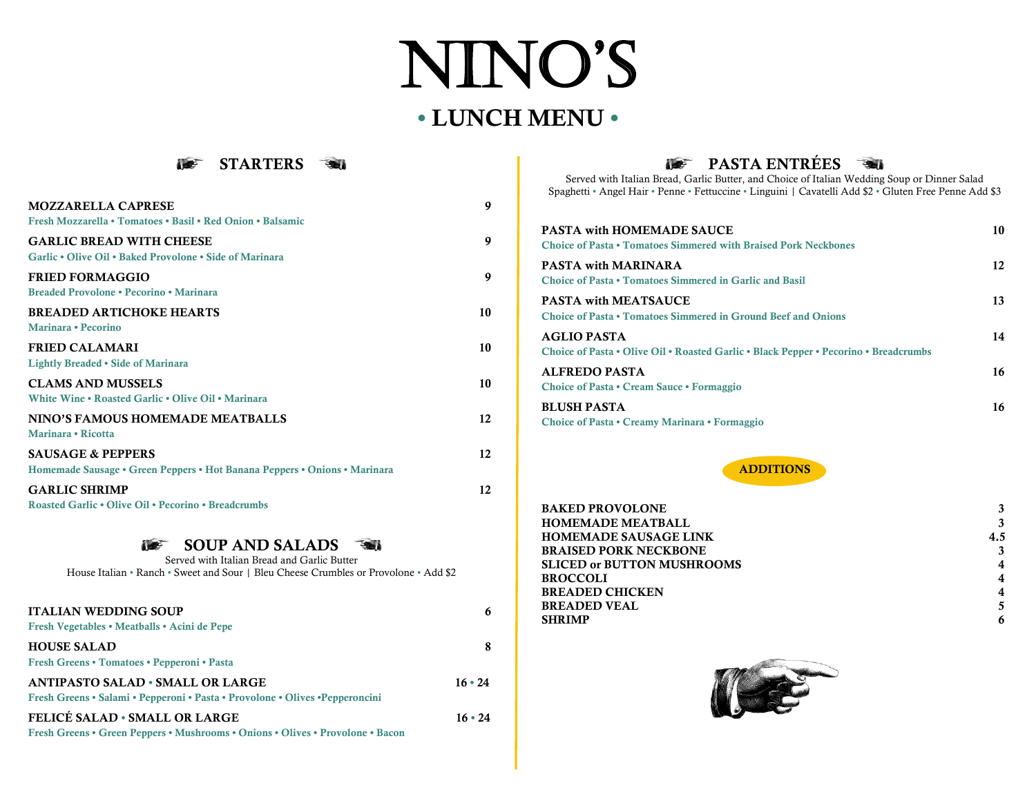# NINO'S • LUNCH MENU •



| <b>MOZZARELLA CAPRESE</b><br>Fresh Mozzarella • Tomatoes • Basil • Red Onion • Balsamic                   | 9  |
|-----------------------------------------------------------------------------------------------------------|----|
| <b>GARLIC BREAD WITH CHEESE</b><br>Garlic • Olive Oil • Baked Provolone • Side of Marinara                | 9  |
| <b>FRIED FORMAGGIO</b><br>Breaded Provolone • Pecorino • Marinara                                         | 9  |
| <b>BREADED ARTICHOKE HEARTS</b><br>Marinara • Pecorino                                                    | 10 |
| <b>FRIED CALAMARI</b><br><b>Lightly Breaded • Side of Marinara</b>                                        | 10 |
| <b>CLAMS AND MUSSELS</b><br>White Wine • Roasted Garlic • Olive Oil • Marinara                            | 10 |
| NINO'S FAMOUS HOMEMADE MEATBALLS<br>Marinara • Ricotta                                                    | 12 |
| <b>SAUSAGE &amp; PEPPERS</b><br>Homemade Sausage • Green Peppers • Hot Banana Peppers • Onions • Marinara | 12 |
| <b>GARLIC SHRIMP</b><br>Roasted Garlic • Olive Oil • Pecorino • Breadcrumbs                               | 12 |

## **SOUP AND SALADS**

Served with Italian Bread and Garlic Butter House Italian • Ranch • Sweet and Sour | Bleu Cheese Crumbles or Provolone • Add \$2

| <b>ITALIAN WEDDING SOUP</b><br>Fresh Vegetables • Meatballs • Acini de Pepe                                                   | 6             |
|-------------------------------------------------------------------------------------------------------------------------------|---------------|
| <b>HOUSE SALAD</b><br>Fresh Greens • Tomatoes • Pepperoni • Pasta                                                             | 8             |
| <b>ANTIPASTO SALAD • SMALL OR LARGE</b><br>Fresh Greens • Salami • Pepperoni • Pasta • Provolone • Olives • Pepperoncini      | $16 \cdot 24$ |
| <b>FELICÉ SALAD • SMALL OR LARGE</b><br><b>Fresh Greens • Green Peppers • Mushrooms • Onions • Olives • Provolone • Bacon</b> | $16 \cdot 24$ |

# **PASTA ENTRÉES**

Served with Italian Bread, Garlic Butter, and Choice of Italian Wedding Soup or Dinner Salad Spaghetti • Angel Hair • Penne • Fettuccine • Linguini | Cavatelli Add \$2 • Gluten Free Penne Add \$3

| <b>PASTA with HOMEMADE SAUCE</b><br><b>Choice of Pasta • Tomatoes Simmered with Braised Pork Neckbones</b> | 10 |
|------------------------------------------------------------------------------------------------------------|----|
| <b>PASTA with MARINARA</b><br><b>Choice of Pasta • Tomatoes Simmered in Garlic and Basil</b>               | 12 |
| <b>PASTA with MEATSAUCE</b><br><b>Choice of Pasta • Tomatoes Simmered in Ground Beef and Onions</b>        | 13 |
| <b>AGLIO PASTA</b><br>Choice of Pasta • Olive Oil • Roasted Garlic • Black Pepper • Pecorino • Breadcrumbs | 14 |
| ALFREDO PASTA<br>Choice of Pasta • Cream Sauce • Formaggio                                                 | 16 |
| <b>BLUSH PASTA</b><br>Choice of Pasta • Creamy Marinara • Formaggio                                        | 16 |



| <b>BAKED PROVOLONE</b>            |     |
|-----------------------------------|-----|
| <b>HOMEMADE MEATBALL</b>          |     |
| <b>HOMEMADE SAUSAGE LINK</b>      | 4.5 |
| <b>BRAISED PORK NECKBONE</b>      |     |
| <b>SLICED or BUTTON MUSHROOMS</b> | 4   |
| <b>BROCCOLI</b>                   | 4   |
| <b>BREADED CHICKEN</b>            | 4   |
| <b>BREADED VEAL</b>               |     |
| <b>SHRIMP</b>                     | 6   |
|                                   |     |